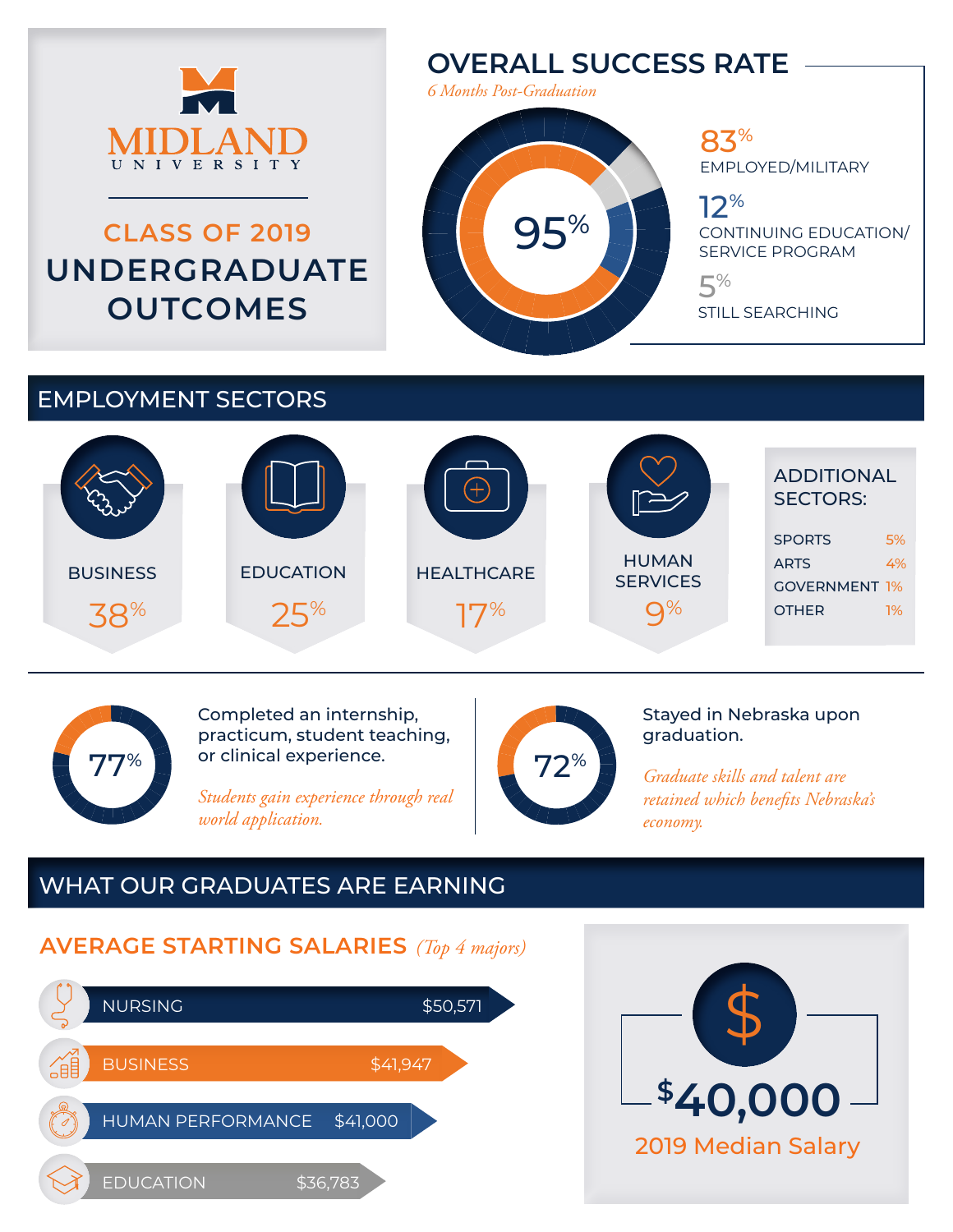

# **CLASS OF 2019 UNDERGRADUATE OUTCOMES**

## **OVERALL SUCCESS RATE**

*6 Months Post-Graduation*

95%

#### 83% EMPLOYED/MILITARY

12% CONTINUING EDUCATION/ SERVICE PROGRAM

5% STILL SEARCHING

### EMPLOYMENT SECTORS





Completed an internship, practicum, student teaching, or clinical experience.

*Students gain experience through real world application.*



Stayed in Nebraska upon graduation.

*Graduate skills and talent are retained which benefits Nebraska's economy.*

### WHAT OUR GRADUATES ARE EARNING

### **AVERAGE STARTING SALARIES** *(Top 4 majors)*